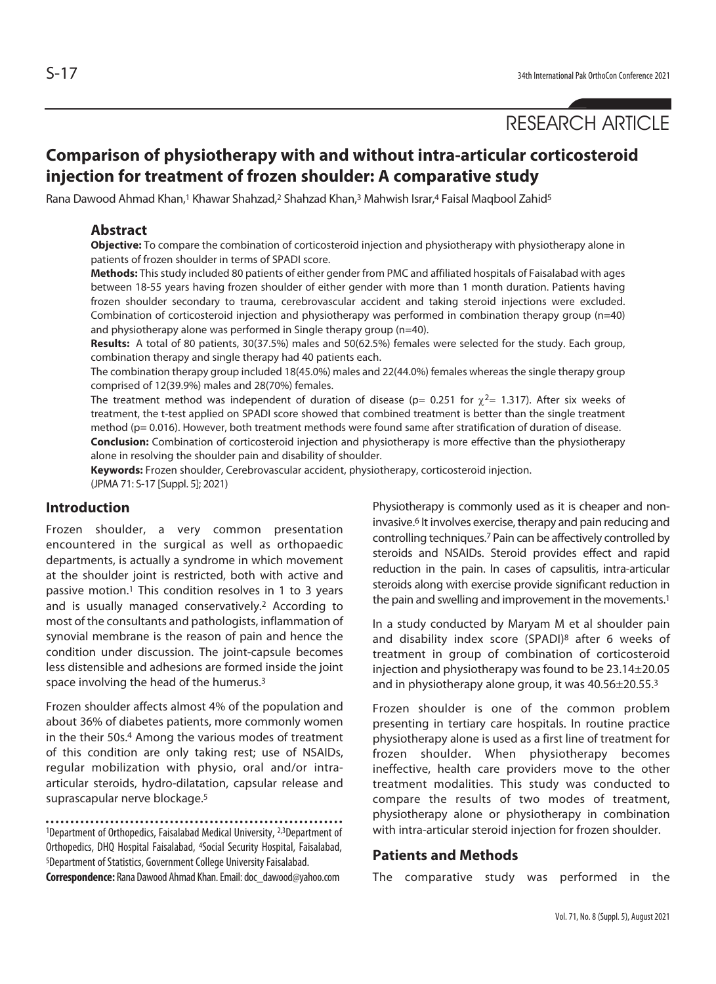# RESEARCH ARTICLE

## **Comparison of physiotherapy with and without intra-articular corticosteroid injection for treatment of frozen shoulder: A comparative study**

Rana Dawood Ahmad Khan,<sup>1</sup> Khawar Shahzad,<sup>2</sup> Shahzad Khan,<sup>3</sup> Mahwish Israr,<sup>4</sup> Faisal Maqbool Zahid<sup>5</sup>

## **Abstract**

**Objective:** To compare the combination of corticosteroid injection and physiotherapy with physiotherapy alone in patients of frozen shoulder in terms of SPADI score.

**Methods:** This study included 80 patients of either gender from PMC and affiliated hospitals of Faisalabad with ages between 18-55 years having frozen shoulder of either gender with more than 1 month duration. Patients having frozen shoulder secondary to trauma, cerebrovascular accident and taking steroid injections were excluded. Combination of corticosteroid injection and physiotherapy was performed in combination therapy group (n=40) and physiotherapy alone was performed in Single therapy group (n=40).

**Results:** A total of 80 patients, 30(37.5%) males and 50(62.5%) females were selected for the study. Each group, combination therapy and single therapy had 40 patients each.

The combination therapy group included 18(45.0%) males and 22(44.0%) females whereas the single therapy group comprised of 12(39.9%) males and 28(70%) females.

The treatment method was independent of duration of disease (p= 0.251 for  $\gamma^2$ = 1.317). After six weeks of treatment, the t-test applied on SPADI score showed that combined treatment is better than the single treatment method (p= 0.016). However, both treatment methods were found same after stratification of duration of disease. **Conclusion:** Combination of corticosteroid injection and physiotherapy is more effective than the physiotherapy alone in resolving the shoulder pain and disability of shoulder.

**Keywords:** Frozen shoulder, Cerebrovascular accident, physiotherapy, corticosteroid injection. (JPMA 71: S-17 [Suppl. 5]; 2021)

## **Introduction**

Frozen shoulder, a very common presentation encountered in the surgical as well as orthopaedic departments, is actually a syndrome in which movement at the shoulder joint is restricted, both with active and passive motion.1 This condition resolves in 1 to 3 years and is usually managed conservatively.2 According to most of the consultants and pathologists, inflammation of synovial membrane is the reason of pain and hence the condition under discussion. The joint-capsule becomes less distensible and adhesions are formed inside the joint space involving the head of the humerus.3

Frozen shoulder affects almost 4% of the population and about 36% of diabetes patients, more commonly women in the their 50s.4 Among the various modes of treatment of this condition are only taking rest; use of NSAIDs, regular mobilization with physio, oral and/or intraarticular steroids, hydro-dilatation, capsular release and suprascapular nerve blockage.5

<sup>1</sup>Department of Orthopedics, Faisalabad Medical University, <sup>2,3</sup>Department of Orthopedics, DHQ Hospital Faisalabad, 4Social Security Hospital, Faisalabad, 5Department of Statistics, Government College University Faisalabad.

**Correspondence:** Rana Dawood Ahmad Khan. Email: doc\_dawood@yahoo.com

Physiotherapy is commonly used as it is cheaper and noninvasive.6 It involves exercise, therapy and pain reducing and controlling techniques.7 Pain can be affectively controlled by steroids and NSAIDs. Steroid provides effect and rapid reduction in the pain. In cases of capsulitis, intra-articular steroids along with exercise provide significant reduction in the pain and swelling and improvement in the movements.<sup>1</sup>

In a study conducted by Maryam M et al shoulder pain and disability index score (SPADI)8 after 6 weeks of treatment in group of combination of corticosteroid injection and physiotherapy was found to be 23.14±20.05 and in physiotherapy alone group, it was 40.56±20.55.3

Frozen shoulder is one of the common problem presenting in tertiary care hospitals. In routine practice physiotherapy alone is used as a first line of treatment for frozen shoulder. When physiotherapy becomes ineffective, health care providers move to the other treatment modalities. This study was conducted to compare the results of two modes of treatment, physiotherapy alone or physiotherapy in combination with intra-articular steroid injection for frozen shoulder.

## **Patients and Methods**

The comparative study was performed in the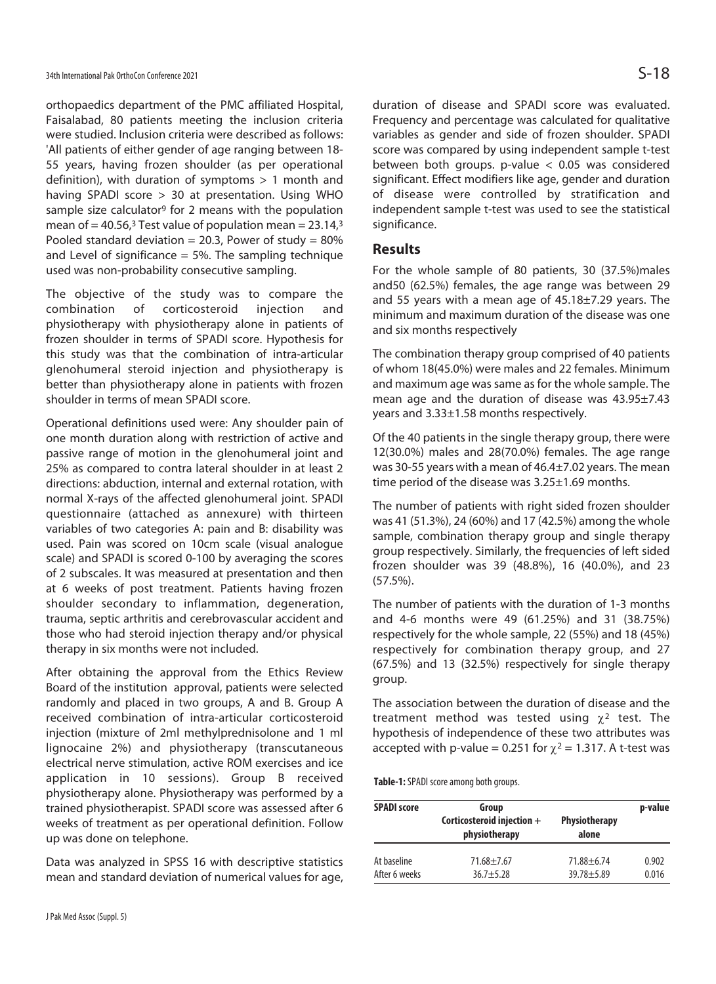orthopaedics department of the PMC affiliated Hospital, Faisalabad, 80 patients meeting the inclusion criteria were studied. Inclusion criteria were described as follows: 'All patients of either gender of age ranging between 18- 55 years, having frozen shoulder (as per operational definition), with duration of symptoms > 1 month and having SPADI score > 30 at presentation. Using WHO sample size calculator<sup>9</sup> for 2 means with the population mean of = 40.56,<sup>3</sup> Test value of population mean =  $23.14$ ,<sup>3</sup> Pooled standard deviation = 20.3, Power of study =  $80\%$ and Level of significance  $= 5\%$ . The sampling technique used was non-probability consecutive sampling.

The objective of the study was to compare the combination of corticosteroid injection and physiotherapy with physiotherapy alone in patients of frozen shoulder in terms of SPADI score. Hypothesis for this study was that the combination of intra-articular glenohumeral steroid injection and physiotherapy is better than physiotherapy alone in patients with frozen shoulder in terms of mean SPADI score.

Operational definitions used were: Any shoulder pain of one month duration along with restriction of active and passive range of motion in the glenohumeral joint and 25% as compared to contra lateral shoulder in at least 2 directions: abduction, internal and external rotation, with normal X-rays of the affected glenohumeral joint. SPADI questionnaire (attached as annexure) with thirteen variables of two categories A: pain and B: disability was used. Pain was scored on 10cm scale (visual analogue scale) and SPADI is scored 0-100 by averaging the scores of 2 subscales. It was measured at presentation and then at 6 weeks of post treatment. Patients having frozen shoulder secondary to inflammation, degeneration, trauma, septic arthritis and cerebrovascular accident and those who had steroid injection therapy and/or physical therapy in six months were not included.

After obtaining the approval from the Ethics Review Board of the institution approval, patients were selected randomly and placed in two groups, A and B. Group A received combination of intra-articular corticosteroid injection (mixture of 2ml methylprednisolone and 1 ml lignocaine 2%) and physiotherapy (transcutaneous electrical nerve stimulation, active ROM exercises and ice application in 10 sessions). Group B received physiotherapy alone. Physiotherapy was performed by a trained physiotherapist. SPADI score was assessed after 6 weeks of treatment as per operational definition. Follow up was done on telephone.

Data was analyzed in SPSS 16 with descriptive statistics mean and standard deviation of numerical values for age,

duration of disease and SPADI score was evaluated. Frequency and percentage was calculated for qualitative variables as gender and side of frozen shoulder. SPADI score was compared by using independent sample t-test between both groups. p-value < 0.05 was considered significant. Effect modifiers like age, gender and duration of disease were controlled by stratification and independent sample t-test was used to see the statistical significance.

## **Results**

For the whole sample of 80 patients, 30 (37.5%)males and50 (62.5%) females, the age range was between 29 and 55 years with a mean age of 45.18±7.29 years. The minimum and maximum duration of the disease was one and six months respectively

The combination therapy group comprised of 40 patients of whom 18(45.0%) were males and 22 females. Minimum and maximum age was same as for the whole sample. The mean age and the duration of disease was 43.95±7.43 years and 3.33±1.58 months respectively.

Of the 40 patients in the single therapy group, there were 12(30.0%) males and 28(70.0%) females. The age range was 30-55 years with a mean of 46.4±7.02 years. The mean time period of the disease was 3.25±1.69 months.

The number of patients with right sided frozen shoulder was 41 (51.3%), 24 (60%) and 17 (42.5%) among the whole sample, combination therapy group and single therapy group respectively. Similarly, the frequencies of left sided frozen shoulder was 39 (48.8%), 16 (40.0%), and 23 (57.5%).

The number of patients with the duration of 1-3 months and 4-6 months were 49 (61.25%) and 31 (38.75%) respectively for the whole sample, 22 (55%) and 18 (45%) respectively for combination therapy group, and 27 (67.5%) and 13 (32.5%) respectively for single therapy group.

The association between the duration of disease and the treatment method was tested using  $\chi^2$  test. The hypothesis of independence of these two attributes was accepted with p-value = 0.251 for  $\chi^2$  = 1.317. A t-test was

**Table-1:** SPADI score among both groups.

| <b>SPADI score</b> | Group<br>Corticosteroid injection +<br>physiotherapy | Physiotherapy<br>alone | p-value |
|--------------------|------------------------------------------------------|------------------------|---------|
| At baseline        | $71.68 + 7.67$                                       | $71.88 + 6.74$         | 0.902   |
| After 6 weeks      | $36.7 + 5.28$                                        | $39.78 + 5.89$         | 0.016   |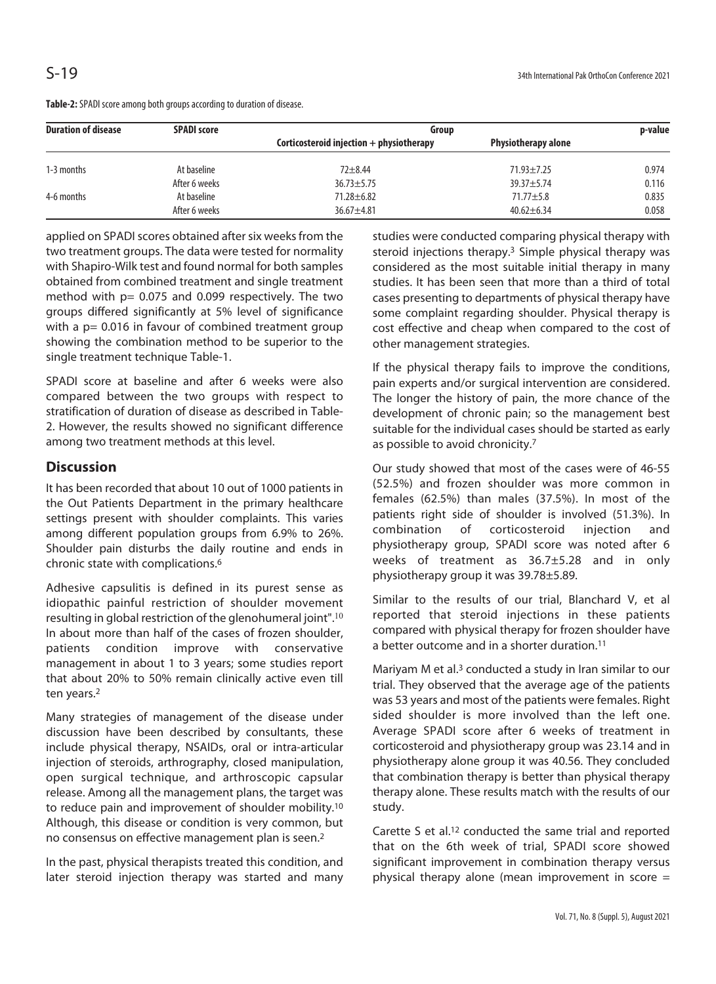| <b>Duration of disease</b> | <b>SPADI score</b> | Group                                      |                            | p-value |
|----------------------------|--------------------|--------------------------------------------|----------------------------|---------|
|                            |                    | Corticosteroid injection $+$ physiotherapy | <b>Physiotherapy alone</b> |         |
| 1-3 months                 | At baseline        | $72 + 8.44$                                | $71.93 + 7.25$             | 0.974   |
|                            | After 6 weeks      | $36.73 + 5.75$                             | $39.37 + 5.74$             | 0.116   |
| 4-6 months                 | At baseline        | $71.28 \pm 6.82$                           | $71.77 \pm 5.8$            | 0.835   |
|                            | After 6 weeks      | 36.67±4.81                                 | $40.62 \pm 6.34$           | 0.058   |

**Table-2:** SPADI score among both groups according to duration of disease.

applied on SPADI scores obtained after six weeks from the two treatment groups. The data were tested for normality with Shapiro-Wilk test and found normal for both samples obtained from combined treatment and single treatment method with  $p= 0.075$  and 0.099 respectively. The two groups differed significantly at 5% level of significance with a p= 0.016 in favour of combined treatment group showing the combination method to be superior to the single treatment technique Table-1.

SPADI score at baseline and after 6 weeks were also compared between the two groups with respect to stratification of duration of disease as described in Table-2. However, the results showed no significant difference among two treatment methods at this level.

## **Discussion**

It has been recorded that about 10 out of 1000 patients in the Out Patients Department in the primary healthcare settings present with shoulder complaints. This varies among different population groups from 6.9% to 26%. Shoulder pain disturbs the daily routine and ends in chronic state with complications.6

Adhesive capsulitis is defined in its purest sense as idiopathic painful restriction of shoulder movement resulting in global restriction of the glenohumeral joint".<sup>10</sup> In about more than half of the cases of frozen shoulder, patients condition improve with conservative management in about 1 to 3 years; some studies report that about 20% to 50% remain clinically active even till ten years.2

Many strategies of management of the disease under discussion have been described by consultants, these include physical therapy, NSAIDs, oral or intra-articular injection of steroids, arthrography, closed manipulation, open surgical technique, and arthroscopic capsular release. Among all the management plans, the target was to reduce pain and improvement of shoulder mobility.10 Although, this disease or condition is very common, but no consensus on effective management plan is seen.2

In the past, physical therapists treated this condition, and later steroid injection therapy was started and many studies were conducted comparing physical therapy with steroid injections therapy.3 Simple physical therapy was considered as the most suitable initial therapy in many studies. It has been seen that more than a third of total cases presenting to departments of physical therapy have some complaint regarding shoulder. Physical therapy is cost effective and cheap when compared to the cost of other management strategies.

If the physical therapy fails to improve the conditions, pain experts and/or surgical intervention are considered. The longer the history of pain, the more chance of the development of chronic pain; so the management best suitable for the individual cases should be started as early as possible to avoid chronicity.7

Our study showed that most of the cases were of 46-55 (52.5%) and frozen shoulder was more common in females (62.5%) than males (37.5%). In most of the patients right side of shoulder is involved (51.3%). In combination of corticosteroid injection and physiotherapy group, SPADI score was noted after 6 weeks of treatment as 36.7±5.28 and in only physiotherapy group it was 39.78±5.89.

Similar to the results of our trial, Blanchard V, et al reported that steroid injections in these patients compared with physical therapy for frozen shoulder have a better outcome and in a shorter duration.11

Mariyam M et al.3 conducted a study in Iran similar to our trial. They observed that the average age of the patients was 53 years and most of the patients were females. Right sided shoulder is more involved than the left one. Average SPADI score after 6 weeks of treatment in corticosteroid and physiotherapy group was 23.14 and in physiotherapy alone group it was 40.56. They concluded that combination therapy is better than physical therapy therapy alone. These results match with the results of our study.

Carette S et al.12 conducted the same trial and reported that on the 6th week of trial, SPADI score showed significant improvement in combination therapy versus physical therapy alone (mean improvement in score =